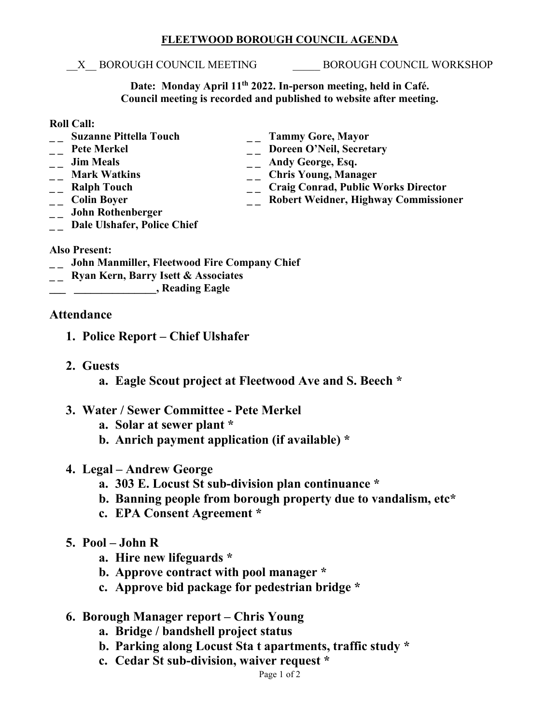## **FLEETWOOD BOROUGH COUNCIL AGENDA**

\_\_X\_\_ BOROUGH COUNCIL MEETING \_\_\_\_\_ BOROUGH COUNCIL WORKSHOP

**Date: Monday April 11th 2022. In-person meeting, held in Café. Council meeting is recorded and published to website after meeting.**

## **Roll Call:**

- **\_ \_ Suzanne Pittella Touch \_ \_ Tammy Gore, Mayor**
- 
- 
- 
- 
- 
- **\_ \_ John Rothenberger**
- <sup>--</sup> Pete Merkel <sup>--</sup> Doreen O'Neil, Secretary<br>
<sup>--</sup> Doreen O'Neil, Secretary<br>
-- Andy George, Esq.
- -- **Jim Meals** -- **Andy George, Esq.**<br>
-- **Mark Watkins** -- **Chris Young, Mana** 
	-
- <sup>1</sup> \_\_ Mark Watkins \_\_ \_\_ Chris Young, Manager<br>
\_\_ Ralph Touch \_\_ \_\_ Craig Conrad, Public V
- <sup>--</sup> **Craig Conrad, Public Works Director**<br>
-- **Colin Boyer**<br>
-- **Robert Weidner, Highway Commissio \_\_ Robert Weidner, Highway Commissioner**
- **\_ \_ Dale Ulshafer, Police Chief**

## **Also Present:**

- **\_ \_ John Manmiller, Fleetwood Fire Company Chief**
- **\_ \_ Ryan Kern, Barry Isett & Associates**
- **\_\_\_ \_\_\_\_\_\_\_\_\_\_\_\_\_\_\_, Reading Eagle**

## **Attendance**

- **1. Police Report – Chief Ulshafer**
- **2. Guests**
	- **a. Eagle Scout project at Fleetwood Ave and S. Beech \***
- **3. Water / Sewer Committee - Pete Merkel**
	- **a. Solar at sewer plant \***
	- **b. Anrich payment application (if available) \***
- **4. Legal – Andrew George** 
	- **a. 303 E. Locust St sub-division plan continuance \***
	- **b. Banning people from borough property due to vandalism, etc\***
	- **c. EPA Consent Agreement \***
- **5. Pool – John R**
	- **a. Hire new lifeguards \***
	- **b. Approve contract with pool manager \***
	- **c. Approve bid package for pedestrian bridge \***
- **6. Borough Manager report – Chris Young**
	- **a. Bridge / bandshell project status**
	- **b. Parking along Locust Sta t apartments, traffic study \***
	- **c. Cedar St sub-division, waiver request \***